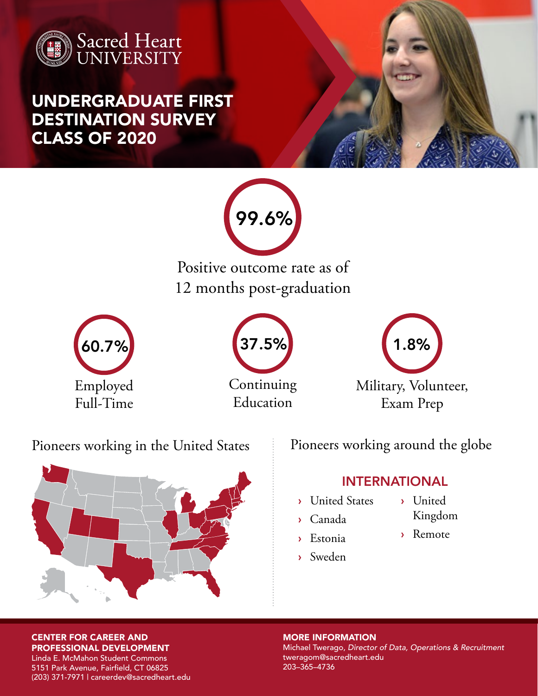

UNDERGRADUATE FIRST DESTINATION SURVEY CLASS OF 2020



Positive outcome rate as of 12 months post-graduation







Pioneers working in the United States



Pioneers working around the globe

### INTERNATIONAL

- › United States
- › Canada
- › Estonia
- › Sweden
- › United
	- Kingdom
- › Remote

MORE INFORMATION Michael Twerago, *Director of Data, Operations & Recruitment* tweragom@sacredheart.edu 203–365–4736

CENTER FOR CAREER AND PROFESSIONAL DEVELOPMENT

Linda E. McMahon Student Commons 5151 Park Avenue, Fairfield, CT 06825 (203) 371-7971 | careerdev@sacredheart.edu